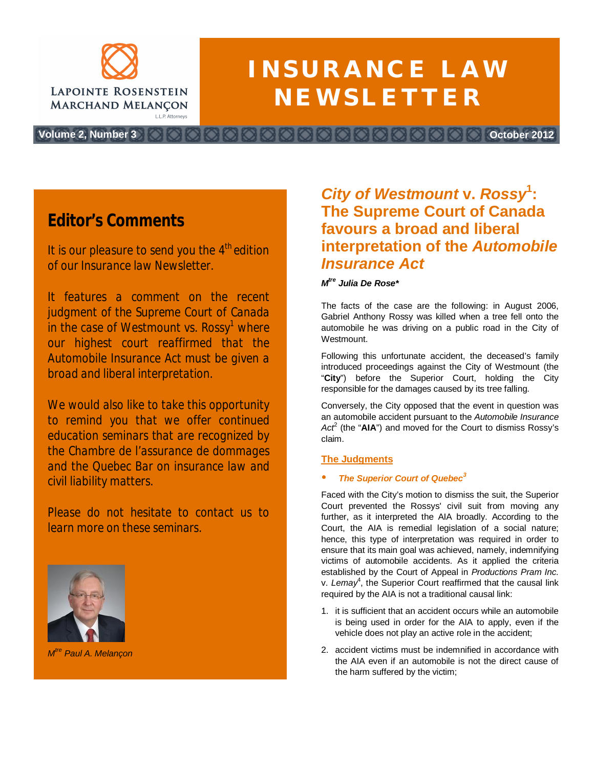

# **INSURANCE LAW NEWSLETTER**

**Volume 2, Number 3 October 2012**

*Editor's Comments*

*It is our pleasure to send you the 4th edition of our Insurance law Newsletter.*

*It features a comment on the recent judgment of the Supreme Court of Canada in the case of Westmount vs. Rossy<sup>1</sup> where our highest court reaffirmed that the Automobile Insurance Act must be given a broad and liberal interpretation.*

*We would also like to take this opportunity to remind you that we offer continued education seminars that are recognized by the Chambre de l'assurance de dommages and the Quebec Bar on insurance law and civil liability matters.*

*Please do not hesitate to contact us to learn more on these seminars.*



*M tre Paul A. Melançon*

## *City of Westmount* **v.** *Rossy***<sup>1</sup> : The Supreme Court of Canada favours a broad and liberal interpretation of the** *Automobile Insurance Act*

#### *M tre Julia De Rose\**

The facts of the case are the following: in August 2006, Gabriel Anthony Rossy was killed when a tree fell onto the automobile he was driving on a public road in the City of **Westmount** 

Following this unfortunate accident, the deceased's family introduced proceedings against the City of Westmount (the "**City**") before the Superior Court, holding the City responsible for the damages caused by its tree falling.

Conversely, the City opposed that the event in question was an automobile accident pursuant to the *Automobile Insurance* Act<sup>2</sup> (the "AIA") and moved for the Court to dismiss Rossy's claim.

#### **The Judgments**

#### **The Superior Court of Quebec<sup>3</sup>**

Faced with the City's motion to dismiss the suit, the Superior Court prevented the Rossys' civil suit from moving any further, as it interpreted the AIA broadly. According to the Court, the AIA is remedial legislation of a social nature; hence, this type of interpretation was required in order to ensure that its main goal was achieved, namely, indemnifying victims of automobile accidents. As it applied the criteria established by the Court of Appeal in *Productions Pram Inc.* v. Lemay<sup>4</sup>, the Superior Court reaffirmed that the causal link required by the AIA is not a traditional causal link:

- 1. it is sufficient that an accident occurs while an automobile is being used in order for the AIA to apply, even if the vehicle does not play an active role in the accident;
- 2. accident victims must be indemnified in accordance with the AIA even if an automobile is not the direct cause of the harm suffered by the victim;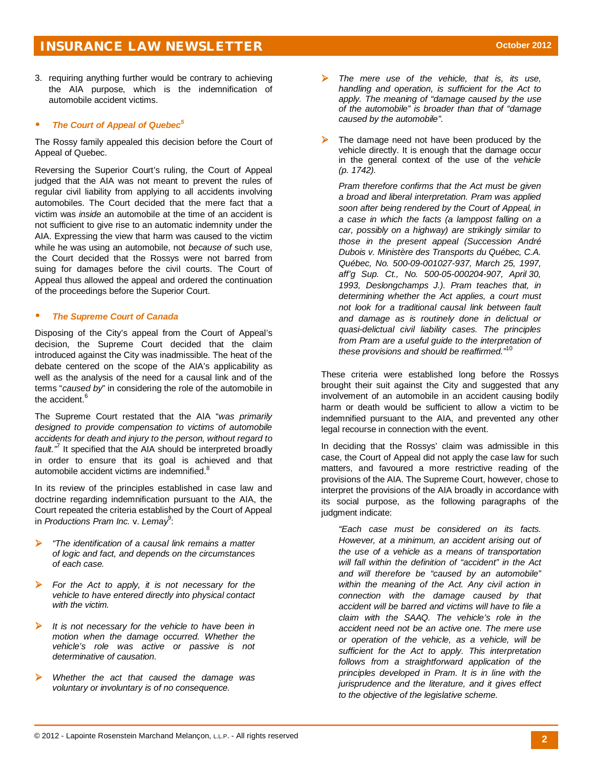3. requiring anything further would be contrary to achieving the AIA purpose, which is the indemnification of automobile accident victims.

#### **The Court of Appeal of Quebec<sup>5</sup>**

The Rossy family appealed this decision before the Court of Appeal of Quebec.

Reversing the Superior Court's ruling, the Court of Appeal judged that the AIA was not meant to prevent the rules of regular civil liability from applying to all accidents involving automobiles. The Court decided that the mere fact that a victim was *inside* an automobile at the time of an accident is not sufficient to give rise to an automatic indemnity under the AIA. Expressing the view that harm was caused to the victim while he was using an automobile, not *because of* such use, the Court decided that the Rossys were not barred from suing for damages before the civil courts. The Court of Appeal thus allowed the appeal and ordered the continuation of the proceedings before the Superior Court.

#### **The Supreme Court of Canada**

Disposing of the City's appeal from the Court of Appeal's decision, the Supreme Court decided that the claim introduced against the City was inadmissible. The heat of the debate centered on the scope of the AIA's applicability as well as the analysis of the need for a causal link and of the terms "*caused by*" in considering the role of the automobile in the accident.<sup>6</sup>

The Supreme Court restated that the AIA "*was primarily designed to provide compensation to victims of automobile accidents for death and injury to the person, without regard to* fault.<sup>"</sup> It specified that the AIA should be interpreted broadly in order to ensure that its goal is achieved and that automobile accident victims are indemnified.<sup>8</sup>

In its review of the principles established in case law and doctrine regarding indemnification pursuant to the AIA, the Court repeated the criteria established by the Court of Appeal in *Productions Pram Inc.* v. Lemay<sup>9</sup>:

- ¾ *"The identification of a causal link remains a matter of logic and fact, and depends on the circumstances of each case.*
- For the Act to apply, it is not necessary for the *vehicle to have entered directly into physical contact with the victim.*
- ¾ *It is not necessary for the vehicle to have been in motion when the damage occurred. Whether the vehicle's role was active or passive is not determinative of causation.*
- ¾ *Whether the act that caused the damage was voluntary or involuntary is of no consequence.*
- ¾ *The mere use of the vehicle, that is, its use, handling and operation, is sufficient for the Act to apply. The meaning of "damage caused by the use of the automobile" is broader than that of "damage caused by the automobile".*
- $\triangleright$  The damage need not have been produced by the vehicle directly. It is enough that the damage occur in the general context of the use of the *vehicle (p. 1742).*

*Pram therefore confirms that the Act must be given a broad and liberal interpretation. Pram was applied soon after being rendered by the Court of Appeal, in a case in which the facts (a lamppost falling on a car, possibly on a highway) are strikingly similar to those in the present appeal (Succession André Dubois v. Ministère des Transports du Québec, C.A. Québec, No. 500-09-001027-937, March 25, 1997, aff'g Sup. Ct., No. 500-05-000204-907, April 30, 1993, Deslongchamps J.). Pram teaches that, in determining whether the Act applies, a court must not look for a traditional causal link between fault and damage as is routinely done in delictual or quasi-delictual civil liability cases. The principles from Pram are a useful guide to the interpretation of these provisions and should be reaffirmed."*<sup>10</sup>

These criteria were established long before the Rossys brought their suit against the City and suggested that any involvement of an automobile in an accident causing bodily harm or death would be sufficient to allow a victim to be indemnified pursuant to the AIA, and prevented any other legal recourse in connection with the event.

In deciding that the Rossys' claim was admissible in this case, the Court of Appeal did not apply the case law for such matters, and favoured a more restrictive reading of the provisions of the AIA. The Supreme Court, however, chose to interpret the provisions of the AIA broadly in accordance with its social purpose, as the following paragraphs of the judgment indicate:

*"Each case must be considered on its facts. However, at a minimum, an accident arising out of the use of a vehicle as a means of transportation will fall within the definition of "accident" in the Act and will therefore be "caused by an automobile" within the meaning of the Act. Any civil action in connection with the damage caused by that accident will be barred and victims will have to file a claim with the SAAQ. The vehicle's role in the accident need not be an active one. The mere use or operation of the vehicle, as a vehicle, will be sufficient for the Act to apply. This interpretation follows from a straightforward application of the principles developed in Pram. It is in line with the jurisprudence and the literature, and it gives effect to the objective of the legislative scheme.*